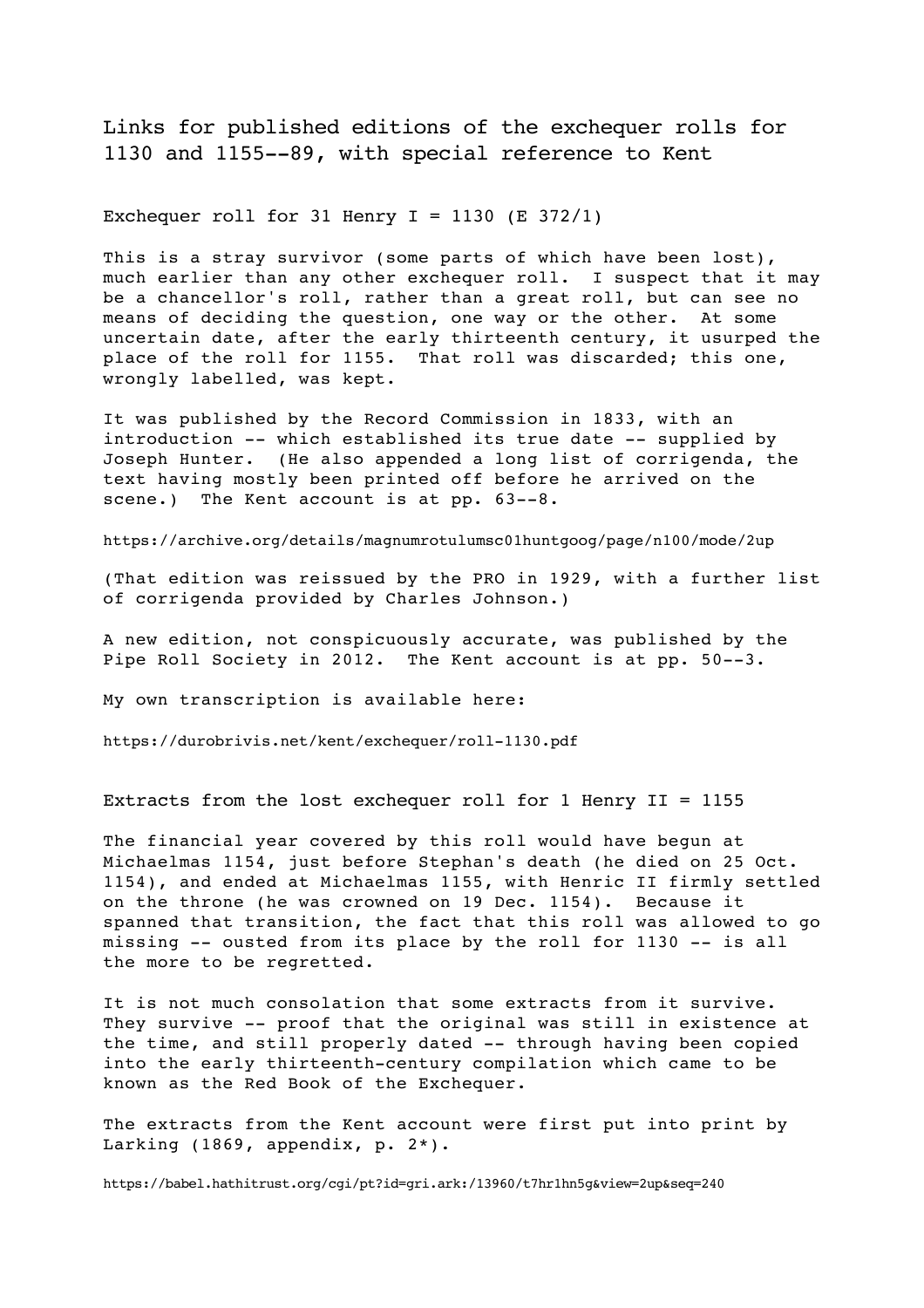Links for published editions of the exchequer rolls for 1130 and 1155--89, with special reference to Kent

Exchequer roll for 31 Henry  $I = 1130$  (E 372/1)

This is a stray survivor (some parts of which have been lost), much earlier than any other exchequer roll. I suspect that it may be a chancellor's roll, rather than a great roll, but can see no means of deciding the question, one way or the other. At some uncertain date, after the early thirteenth century, it usurped the place of the roll for 1155. That roll was discarded; this one, wrongly labelled, was kept.

It was published by the Record Commission in 1833, with an introduction -- which established its true date -- supplied by Joseph Hunter. (He also appended a long list of corrigenda, the text having mostly been printed off before he arrived on the scene.) The Kent account is at pp.  $63--8$ .

https://archive.org/details/magnumrotulumsc01huntgoog/page/n100/mode/2up

(That edition was reissued by the PRO in 1929, with a further list of corrigenda provided by Charles Johnson.)

A new edition, not conspicuously accurate, was published by the Pipe Roll Society in 2012. The Kent account is at pp. 50--3.

My own transcription is available here:

https://durobrivis.net/kent/exchequer/roll-1130.pdf

Extracts from the lost exchequer roll for 1 Henry II = 1155

The financial year covered by this roll would have begun at Michaelmas 1154, just before Stephan's death (he died on 25 Oct. 1154), and ended at Michaelmas 1155, with Henric II firmly settled on the throne (he was crowned on 19 Dec. 1154). Because it spanned that transition, the fact that this roll was allowed to go missing -- ousted from its place by the roll for 1130 -- is all the more to be regretted.

It is not much consolation that some extracts from it survive. They survive -- proof that the original was still in existence at the time, and still properly dated -- through having been copied into the early thirteenth-century compilation which came to be known as the Red Book of the Exchequer.

The extracts from the Kent account were first put into print by Larking (1869, appendix, p. 2\*).

https://babel.hathitrust.org/cgi/pt?id=gri.ark:/13960/t7hr1hn5g&view=2up&seq=240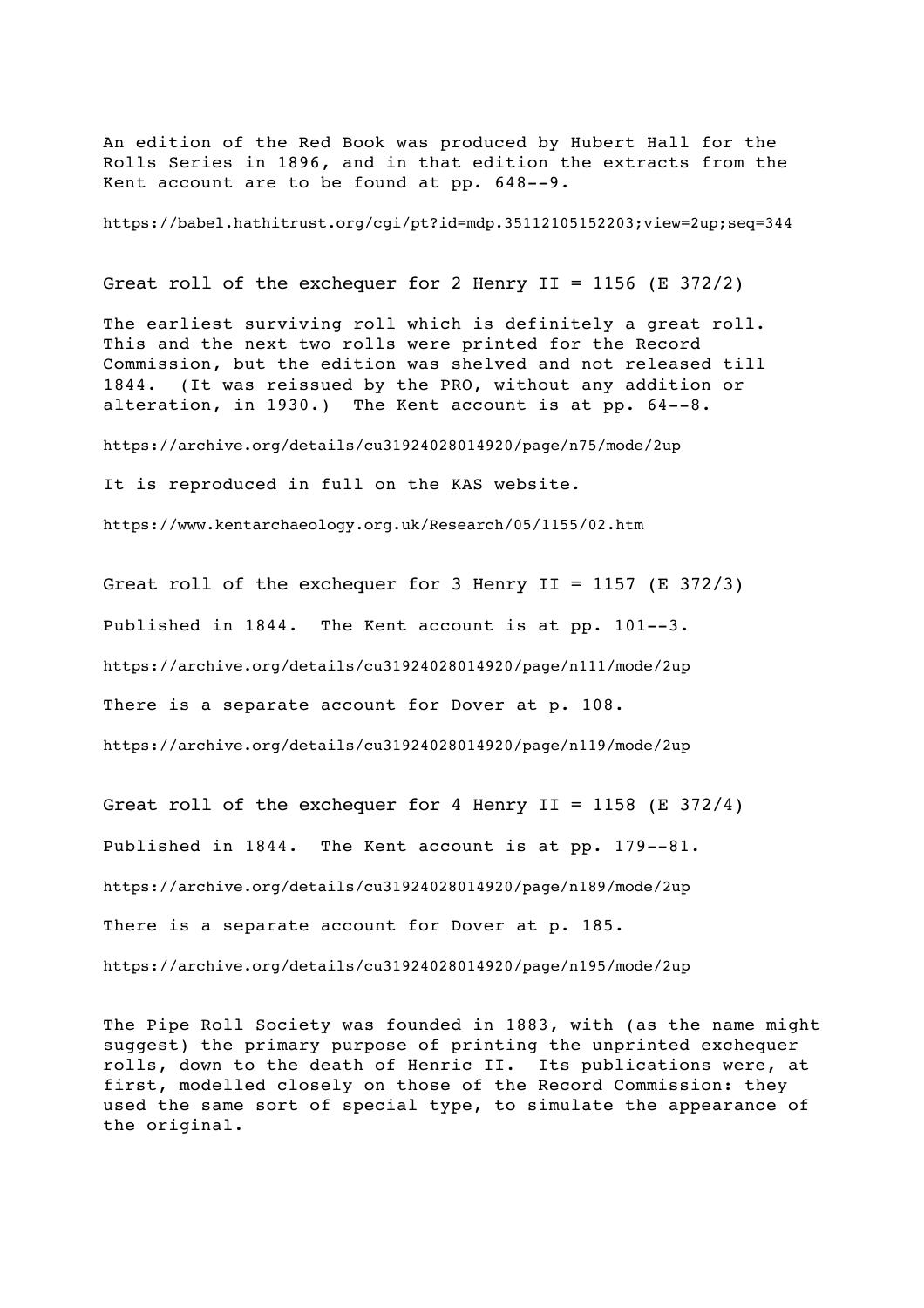An edition of the Red Book was produced by Hubert Hall for the Rolls Series in 1896, and in that edition the extracts from the Kent account are to be found at pp. 648--9.

https://babel.hathitrust.org/cgi/pt?id=mdp.35112105152203;view=2up;seq=344

Great roll of the exchequer for 2 Henry  $II = 1156$  (E 372/2)

The earliest surviving roll which is definitely a great roll. This and the next two rolls were printed for the Record Commission, but the edition was shelved and not released till 1844. (It was reissued by the PRO, without any addition or alteration, in 1930.) The Kent account is at pp. 64--8.

https://archive.org/details/cu31924028014920/page/n75/mode/2up

It is reproduced in full on the KAS website.

https://www.kentarchaeology.org.uk/Research/05/1155/02.htm

Great roll of the exchequer for 3 Henry II = 1157 (E 372/3) Published in 1844. The Kent account is at pp. 101--3. https://archive.org/details/cu31924028014920/page/n111/mode/2up There is a separate account for Dover at p. 108. https://archive.org/details/cu31924028014920/page/n119/mode/2up

Great roll of the exchequer for 4 Henry II = 1158 (E 372/4) Published in 1844. The Kent account is at pp. 179--81. https://archive.org/details/cu31924028014920/page/n189/mode/2up There is a separate account for Dover at p. 185. https://archive.org/details/cu31924028014920/page/n195/mode/2up

The Pipe Roll Society was founded in 1883, with (as the name might suggest) the primary purpose of printing the unprinted exchequer rolls, down to the death of Henric II. Its publications were, at first, modelled closely on those of the Record Commission: they used the same sort of special type, to simulate the appearance of the original.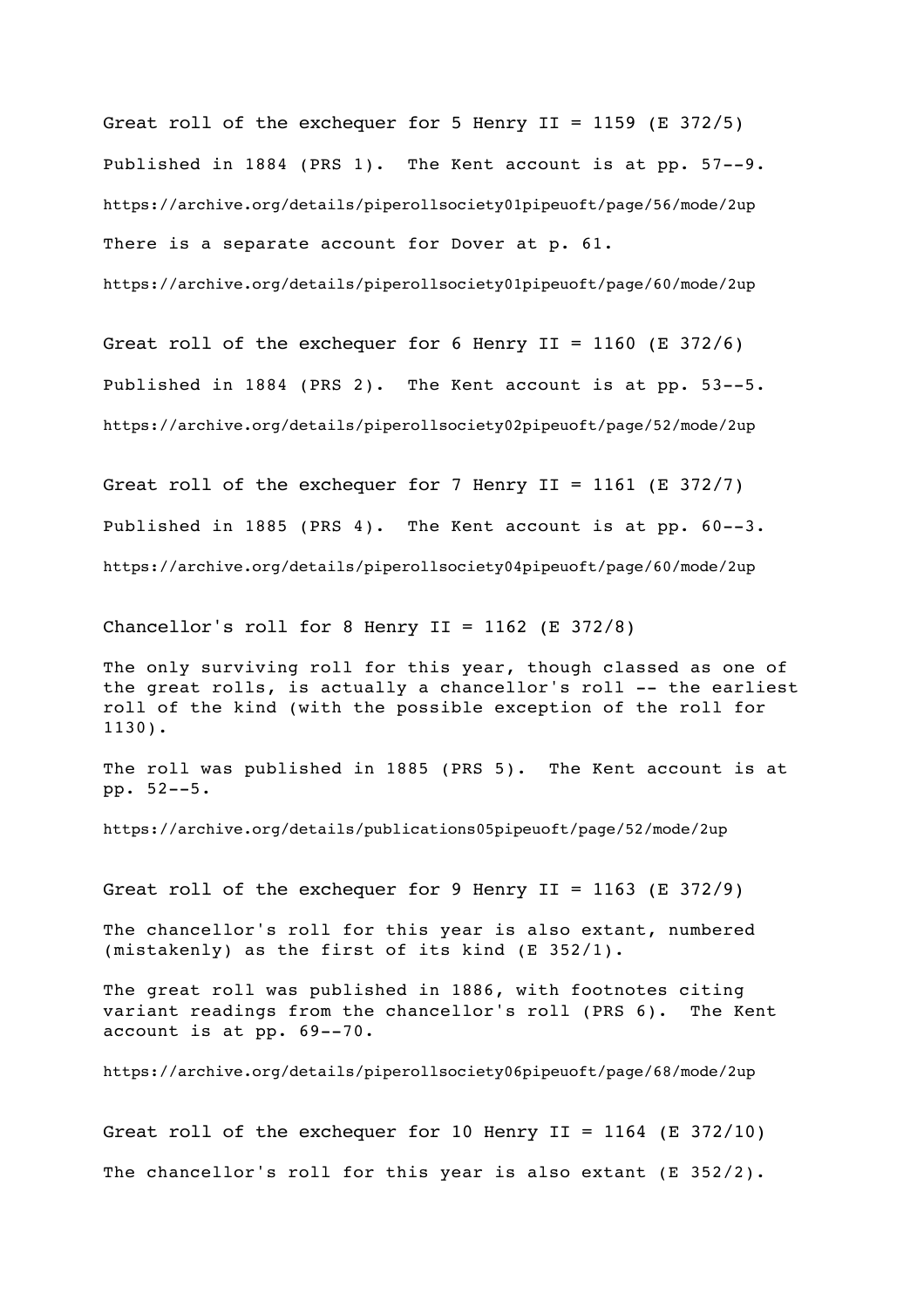Great roll of the exchequer for 5 Henry II = 1159 (E 372/5) Published in 1884 (PRS 1). The Kent account is at pp. 57--9. https://archive.org/details/piperollsociety01pipeuoft/page/56/mode/2up There is a separate account for Dover at p. 61. https://archive.org/details/piperollsociety01pipeuoft/page/60/mode/2up

Great roll of the exchequer for 6 Henry II = 1160 (E 372/6) Published in 1884 (PRS 2). The Kent account is at pp. 53--5. https://archive.org/details/piperollsociety02pipeuoft/page/52/mode/2up

Great roll of the exchequer for 7 Henry II = 1161 (E 372/7) Published in 1885 (PRS 4). The Kent account is at pp. 60--3. https://archive.org/details/piperollsociety04pipeuoft/page/60/mode/2up

Chancellor's roll for 8 Henry II =  $1162$  (E 372/8)

The only surviving roll for this year, though classed as one of the great rolls, is actually a chancellor's roll -- the earliest roll of the kind (with the possible exception of the roll for 1130).

The roll was published in 1885 (PRS 5). The Kent account is at pp. 52--5.

https://archive.org/details/publications05pipeuoft/page/52/mode/2up

Great roll of the exchequer for 9 Henry II = 1163 (E 372/9)

The chancellor's roll for this year is also extant, numbered (mistakenly) as the first of its kind (E 352/1).

The great roll was published in 1886, with footnotes citing variant readings from the chancellor's roll (PRS 6). The Kent account is at pp. 69--70.

https://archive.org/details/piperollsociety06pipeuoft/page/68/mode/2up

Great roll of the exchequer for 10 Henry II = 1164 (E 372/10) The chancellor's roll for this year is also extant (E 352/2).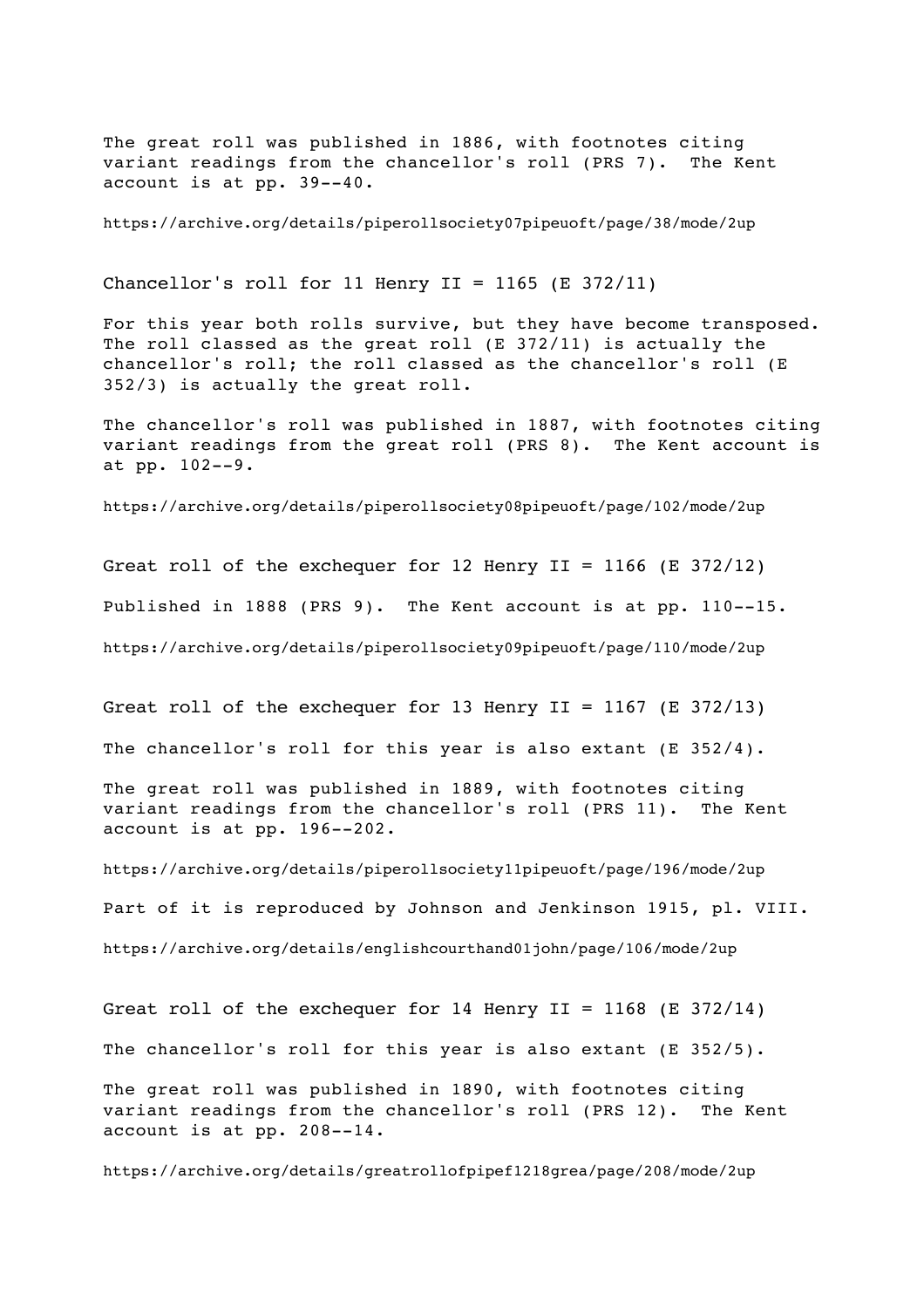The great roll was published in 1886, with footnotes citing variant readings from the chancellor's roll (PRS 7). The Kent account is at pp. 39--40.

https://archive.org/details/piperollsociety07pipeuoft/page/38/mode/2up

Chancellor's roll for 11 Henry  $II = 1165$  (E 372/11)

For this year both rolls survive, but they have become transposed. The roll classed as the great roll (E 372/11) is actually the chancellor's roll; the roll classed as the chancellor's roll (E 352/3) is actually the great roll.

The chancellor's roll was published in 1887, with footnotes citing variant readings from the great roll (PRS 8). The Kent account is at pp. 102--9.

https://archive.org/details/piperollsociety08pipeuoft/page/102/mode/2up

Great roll of the exchequer for 12 Henry II = 1166 (E 372/12) Published in 1888 (PRS 9). The Kent account is at pp. 110--15. https://archive.org/details/piperollsociety09pipeuoft/page/110/mode/2up

Great roll of the exchequer for 13 Henry II = 1167 (E 372/13)

The chancellor's roll for this year is also extant (E 352/4).

The great roll was published in 1889, with footnotes citing variant readings from the chancellor's roll (PRS 11). The Kent account is at pp. 196--202.

https://archive.org/details/piperollsociety11pipeuoft/page/196/mode/2up Part of it is reproduced by Johnson and Jenkinson 1915, pl. VIII. https://archive.org/details/englishcourthand01john/page/106/mode/2up

Great roll of the exchequer for 14 Henry II = 1168 (E 372/14) The chancellor's roll for this year is also extant (E 352/5). The great roll was published in 1890, with footnotes citing variant readings from the chancellor's roll (PRS 12). The Kent account is at pp. 208--14.

https://archive.org/details/greatrollofpipef1218grea/page/208/mode/2up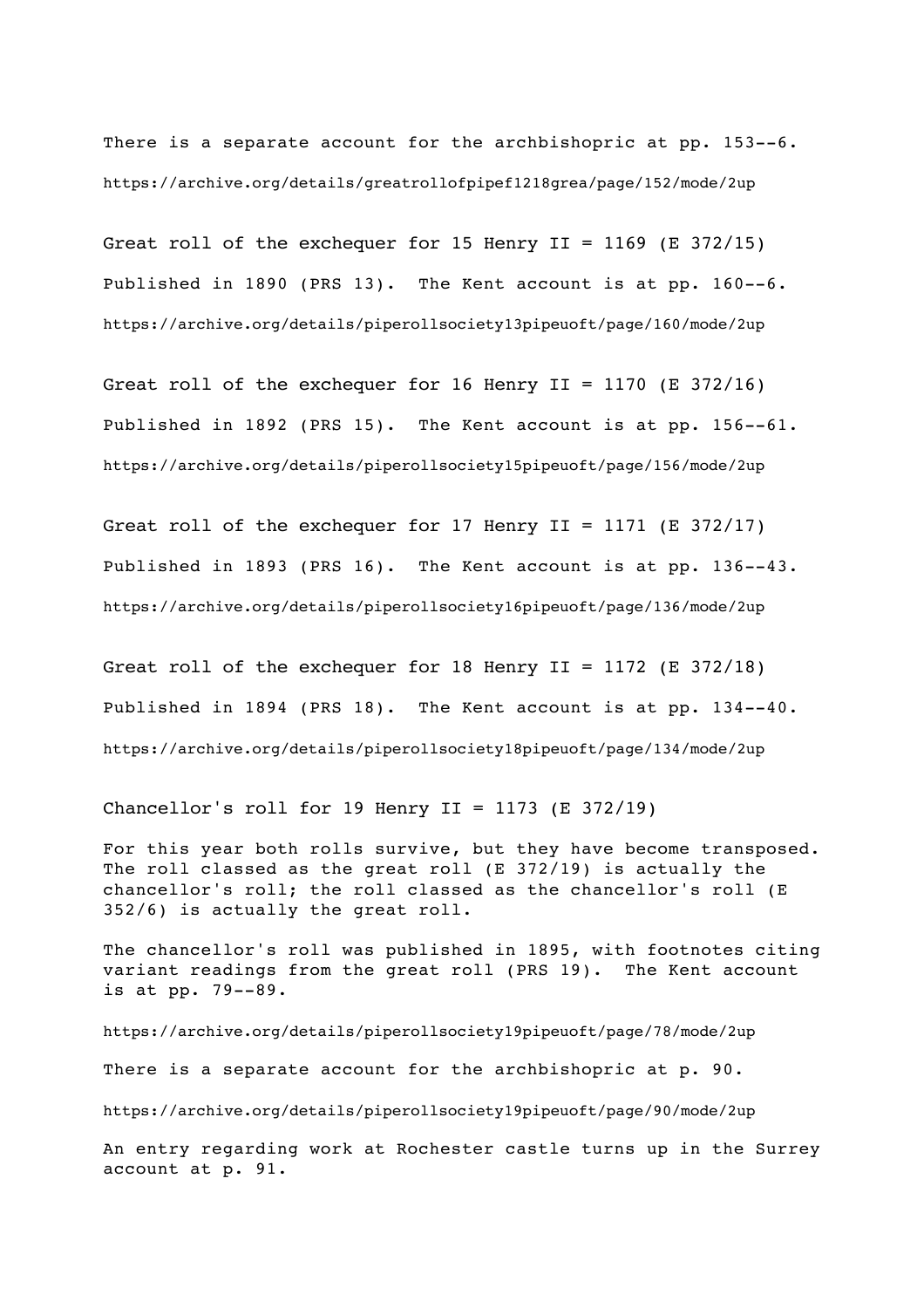There is a separate account for the archbishopric at pp. 153--6. https://archive.org/details/greatrollofpipef1218grea/page/152/mode/2up

Great roll of the exchequer for 15 Henry II = 1169 (E 372/15) Published in 1890 (PRS 13). The Kent account is at pp. 160--6. https://archive.org/details/piperollsociety13pipeuoft/page/160/mode/2up

Great roll of the exchequer for 16 Henry II = 1170 (E 372/16) Published in 1892 (PRS 15). The Kent account is at pp. 156--61. https://archive.org/details/piperollsociety15pipeuoft/page/156/mode/2up

Great roll of the exchequer for 17 Henry II = 1171 (E 372/17) Published in 1893 (PRS 16). The Kent account is at pp. 136--43. https://archive.org/details/piperollsociety16pipeuoft/page/136/mode/2up

Great roll of the exchequer for 18 Henry  $II = 1172$  (E 372/18) Published in 1894 (PRS 18). The Kent account is at pp. 134--40. https://archive.org/details/piperollsociety18pipeuoft/page/134/mode/2up

Chancellor's roll for 19 Henry II = 1173 (E 372/19)

For this year both rolls survive, but they have become transposed. The roll classed as the great roll (E 372/19) is actually the chancellor's roll; the roll classed as the chancellor's roll (E 352/6) is actually the great roll.

The chancellor's roll was published in 1895, with footnotes citing variant readings from the great roll (PRS 19). The Kent account is at pp. 79--89.

https://archive.org/details/piperollsociety19pipeuoft/page/78/mode/2up There is a separate account for the archbishopric at p. 90. https://archive.org/details/piperollsociety19pipeuoft/page/90/mode/2up An entry regarding work at Rochester castle turns up in the Surrey account at p. 91.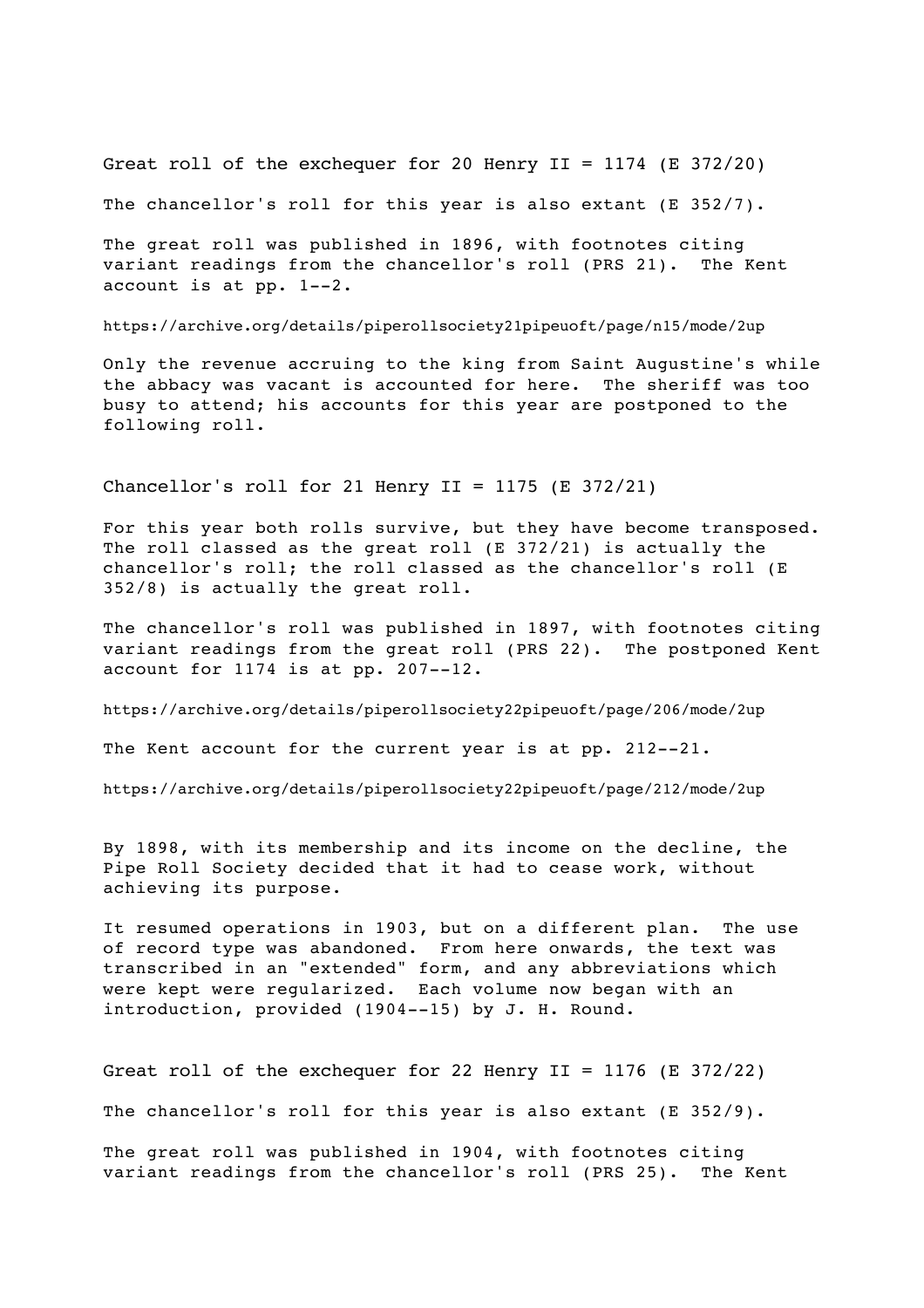Great roll of the exchequer for 20 Henry  $II = 1174$  (E 372/20)

The chancellor's roll for this year is also extant (E 352/7).

The great roll was published in 1896, with footnotes citing variant readings from the chancellor's roll (PRS 21). The Kent account is at pp. 1--2.

https://archive.org/details/piperollsociety21pipeuoft/page/n15/mode/2up

Only the revenue accruing to the king from Saint Augustine's while the abbacy was vacant is accounted for here. The sheriff was too busy to attend; his accounts for this year are postponed to the following roll.

Chancellor's roll for 21 Henry  $II = 1175$  (E 372/21)

For this year both rolls survive, but they have become transposed. The roll classed as the great roll (E 372/21) is actually the chancellor's roll; the roll classed as the chancellor's roll (E 352/8) is actually the great roll.

The chancellor's roll was published in 1897, with footnotes citing variant readings from the great roll (PRS 22). The postponed Kent account for 1174 is at pp. 207--12.

https://archive.org/details/piperollsociety22pipeuoft/page/206/mode/2up

The Kent account for the current year is at pp. 212--21.

https://archive.org/details/piperollsociety22pipeuoft/page/212/mode/2up

By 1898, with its membership and its income on the decline, the Pipe Roll Society decided that it had to cease work, without achieving its purpose.

It resumed operations in 1903, but on a different plan. The use of record type was abandoned. From here onwards, the text was transcribed in an "extended" form, and any abbreviations which were kept were regularized. Each volume now began with an introduction, provided (1904--15) by J. H. Round.

Great roll of the exchequer for 22 Henry II = 1176 (E 372/22)

The chancellor's roll for this year is also extant (E 352/9).

The great roll was published in 1904, with footnotes citing variant readings from the chancellor's roll (PRS 25). The Kent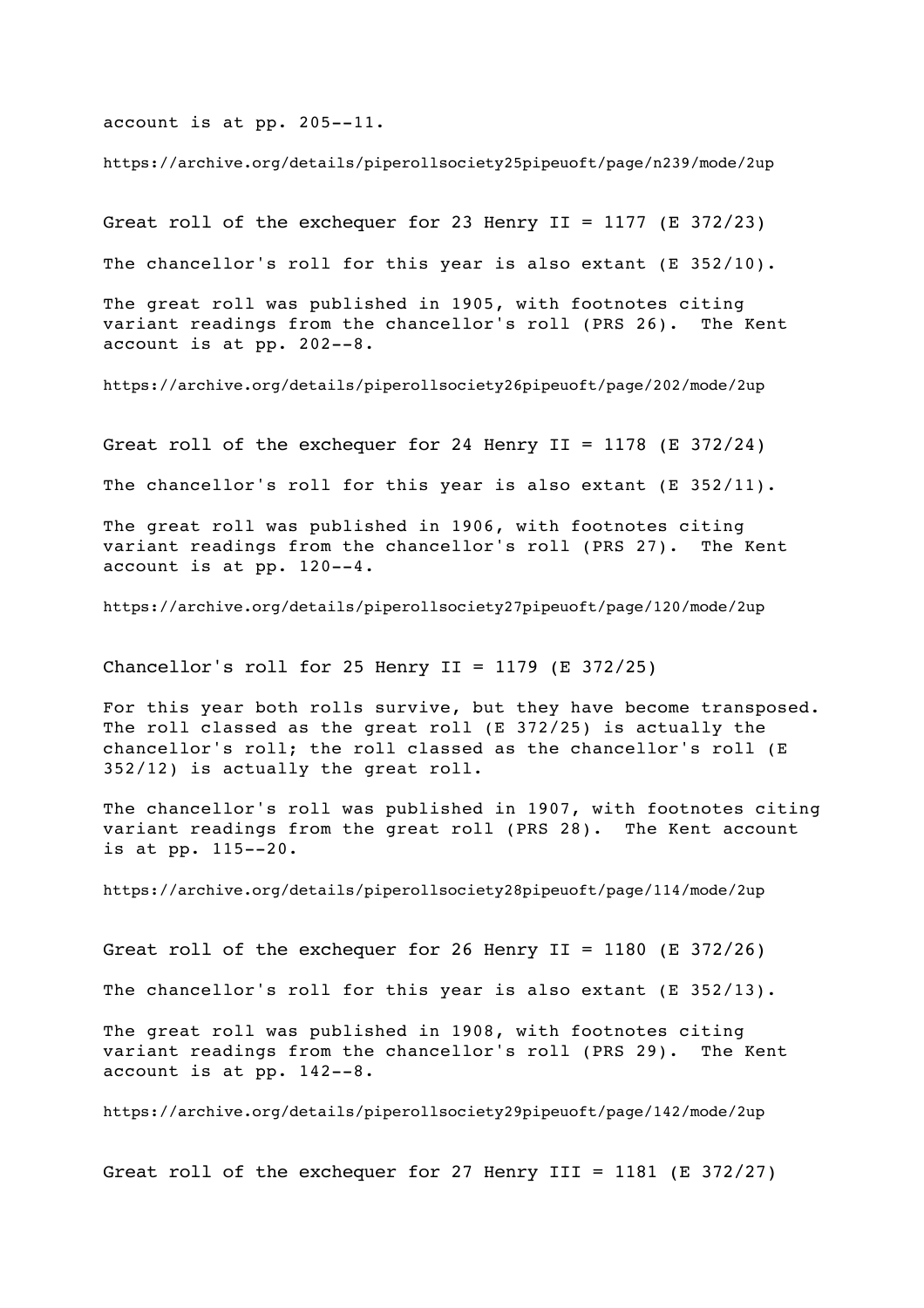account is at pp. 205--11.

https://archive.org/details/piperollsociety25pipeuoft/page/n239/mode/2up

Great roll of the exchequer for 23 Henry II = 1177 (E 372/23)

The chancellor's roll for this year is also extant (E 352/10).

The great roll was published in 1905, with footnotes citing variant readings from the chancellor's roll (PRS 26). The Kent account is at pp. 202--8.

https://archive.org/details/piperollsociety26pipeuoft/page/202/mode/2up

Great roll of the exchequer for 24 Henry II = 1178 (E 372/24)

The chancellor's roll for this year is also extant (E 352/11).

The great roll was published in 1906, with footnotes citing variant readings from the chancellor's roll (PRS 27). The Kent account is at pp. 120--4.

https://archive.org/details/piperollsociety27pipeuoft/page/120/mode/2up

Chancellor's roll for 25 Henry II = 1179 (E 372/25)

For this year both rolls survive, but they have become transposed. The roll classed as the great roll (E 372/25) is actually the chancellor's roll; the roll classed as the chancellor's roll (E 352/12) is actually the great roll.

The chancellor's roll was published in 1907, with footnotes citing variant readings from the great roll (PRS 28). The Kent account is at pp. 115--20.

https://archive.org/details/piperollsociety28pipeuoft/page/114/mode/2up

Great roll of the exchequer for 26 Henry II = 1180 (E 372/26)

The chancellor's roll for this year is also extant (E 352/13).

The great roll was published in 1908, with footnotes citing variant readings from the chancellor's roll (PRS 29). The Kent account is at pp. 142--8.

https://archive.org/details/piperollsociety29pipeuoft/page/142/mode/2up

Great roll of the exchequer for 27 Henry III = 1181 (E 372/27)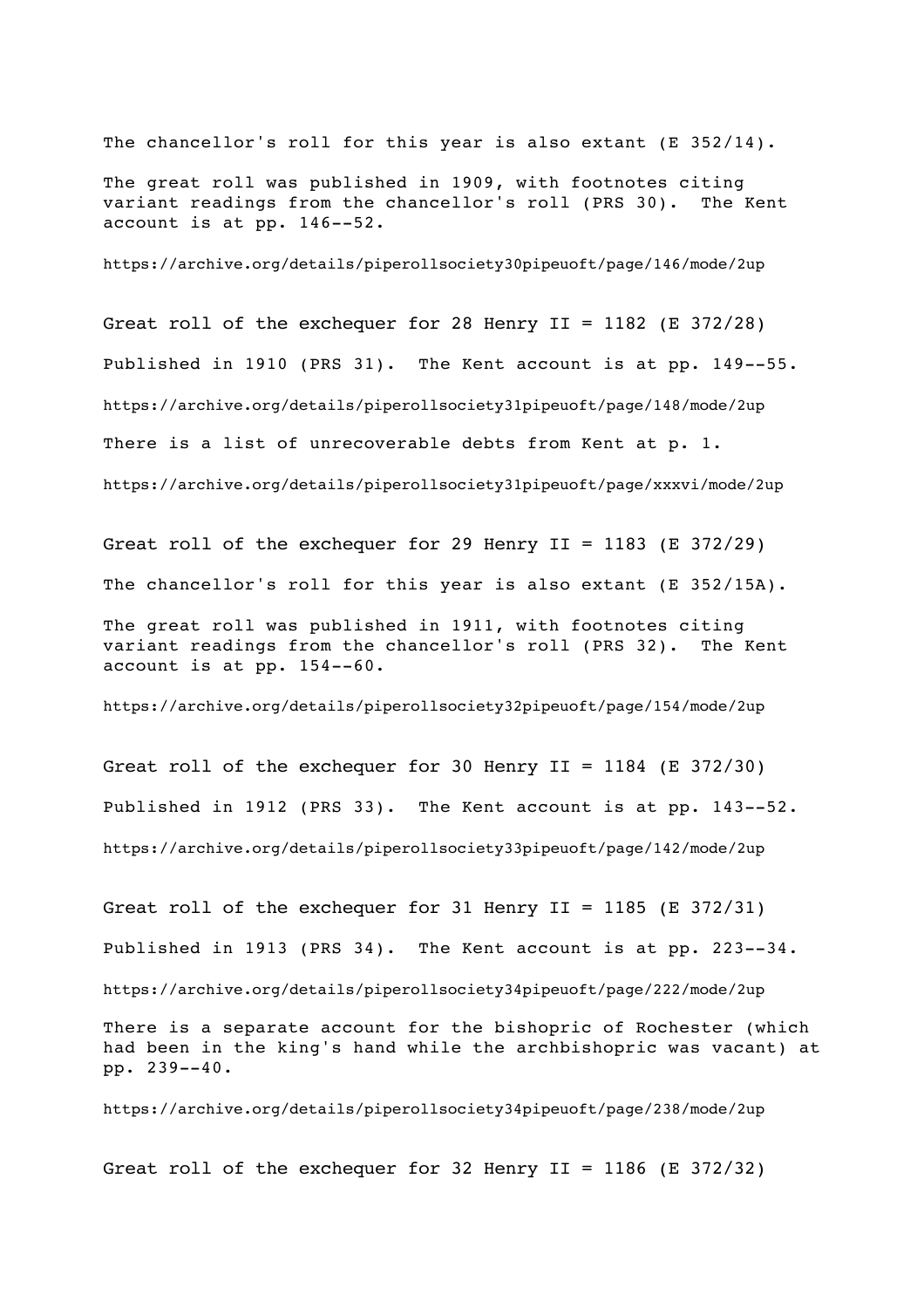The chancellor's roll for this year is also extant (E 352/14).

The great roll was published in 1909, with footnotes citing variant readings from the chancellor's roll (PRS 30). The Kent account is at pp. 146--52.

https://archive.org/details/piperollsociety30pipeuoft/page/146/mode/2up

Great roll of the exchequer for 28 Henry II = 1182 (E 372/28) Published in 1910 (PRS 31). The Kent account is at pp. 149--55. https://archive.org/details/piperollsociety31pipeuoft/page/148/mode/2up There is a list of unrecoverable debts from Kent at p. 1. https://archive.org/details/piperollsociety31pipeuoft/page/xxxvi/mode/2up

Great roll of the exchequer for 29 Henry II = 1183 (E 372/29) The chancellor's roll for this year is also extant (E 352/15A). The great roll was published in 1911, with footnotes citing variant readings from the chancellor's roll (PRS 32). The Kent account is at pp. 154--60.

https://archive.org/details/piperollsociety32pipeuoft/page/154/mode/2up

Great roll of the exchequer for 30 Henry II =  $1184$  (E 372/30) Published in 1912 (PRS 33). The Kent account is at pp. 143--52. https://archive.org/details/piperollsociety33pipeuoft/page/142/mode/2up

Great roll of the exchequer for 31 Henry II = 1185 (E 372/31) Published in 1913 (PRS 34). The Kent account is at pp. 223--34. https://archive.org/details/piperollsociety34pipeuoft/page/222/mode/2up There is a separate account for the bishopric of Rochester (which had been in the king's hand while the archbishopric was vacant) at pp. 239--40. https://archive.org/details/piperollsociety34pipeuoft/page/238/mode/2up

Great roll of the exchequer for 32 Henry II = 1186 (E 372/32)